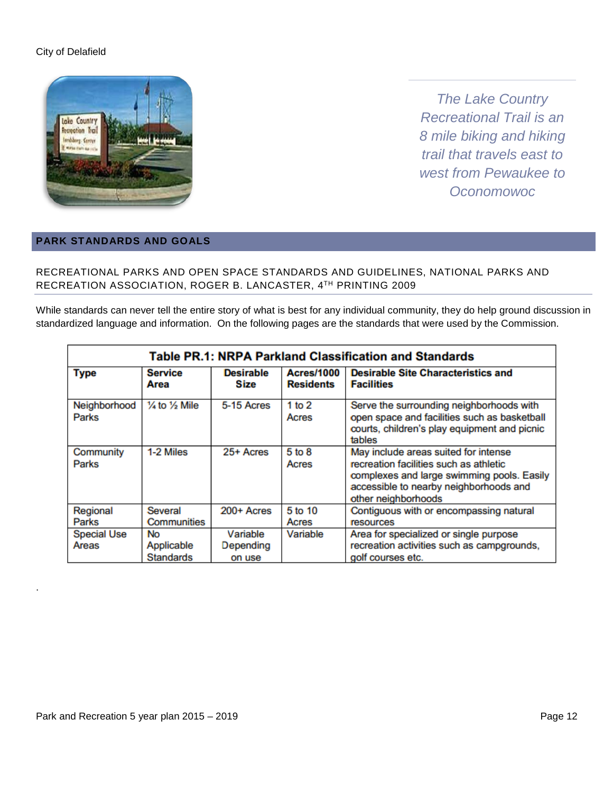

*The Lake Country Recreational Trail is an 8 mile biking and hiking trail that travels east to west from Pewaukee to Oconomowoc*

### **PARK STANDARDS AND GOALS**

### RECREATIONAL PARKS AND OPEN SPACE STANDARDS AND GUIDELINES, NATIONAL PARKS AND RECREATION ASSOCIATION, ROGER B. LANCASTER, 4TH PRINTING 2009

While standards can never tell the entire story of what is best for any individual community, they do help ground discussion in standardized language and information. On the following pages are the standards that were used by the Commission.

| Table PR.1: NRPA Parkland Classification and Standards |                                             |                                 |                                       |                                                                                                                                                                                               |  |  |
|--------------------------------------------------------|---------------------------------------------|---------------------------------|---------------------------------------|-----------------------------------------------------------------------------------------------------------------------------------------------------------------------------------------------|--|--|
| <b>Type</b>                                            | <b>Service</b><br>Area                      | <b>Desirable</b><br>Size        | <b>Acres/1000</b><br><b>Residents</b> | <b>Desirable Site Characteristics and</b><br><b>Facilities</b>                                                                                                                                |  |  |
| Neighborhood<br>Parks                                  | 1/4 to 1/2 Mile                             | 5-15 Acres                      | 1 to $2$<br>Acres                     | Serve the surrounding neighborhoods with<br>open space and facilities such as basketball<br>courts, children's play equipment and picnic<br>tables                                            |  |  |
| Community<br>Parks                                     | 1-2 Miles                                   | 25+ Acres                       | $5 \text{ to } 8$<br>Acres            | May include areas suited for intense<br>recreation facilities such as athletic<br>complexes and large swimming pools. Easily<br>accessible to nearby neighborhoods and<br>other neighborhoods |  |  |
| Regional<br>Parks                                      | Several<br>Communities                      | 200+ Acres                      | 5 to 10<br>Acres                      | Contiguous with or encompassing natural<br>resources                                                                                                                                          |  |  |
| <b>Special Use</b><br>Areas                            | <b>No</b><br>Applicable<br><b>Standards</b> | Variable<br>Depending<br>on use | Variable                              | Area for specialized or single purpose<br>recreation activities such as campgrounds,<br>golf courses etc.                                                                                     |  |  |

.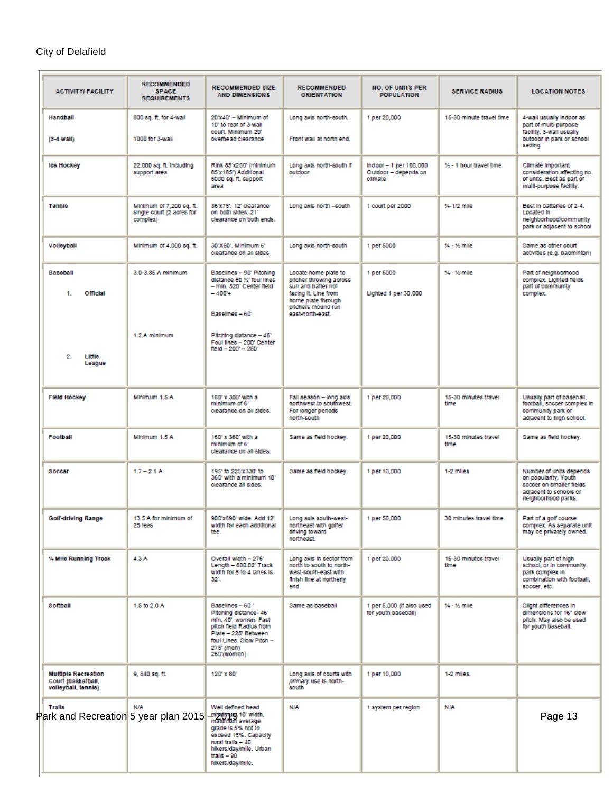| <b>ACTIVITY/ FACILITY</b>                                                   | <b>RECOMMENDED</b><br><b>SPACE</b><br><b>REQUIREMENTS</b>         | <b>RECOMMENDED SIZE</b><br><b>AND DIMENSIONS</b>                                                                                                                              | <b>RECOMMENDED</b><br><b>ORIENTATION</b>                                                                                                                      | <b>NO. OF UNITS PER</b><br><b>POPULATION</b>               | <b>SERVICE RADIUS</b>        | <b>LOCATION NOTES</b>                                                                                                        |
|-----------------------------------------------------------------------------|-------------------------------------------------------------------|-------------------------------------------------------------------------------------------------------------------------------------------------------------------------------|---------------------------------------------------------------------------------------------------------------------------------------------------------------|------------------------------------------------------------|------------------------------|------------------------------------------------------------------------------------------------------------------------------|
| Handball<br>$(3-4$ wall)                                                    | 800 sq. ft. for 4-wall<br>1000 for 3-wall                         | $20^{\circ}$ x40' - Minimum of<br>10' to rear of 3-wall<br>court. Minimum 201<br>overhead clearance                                                                           | Long axis north-south.<br>Front wall at north end.                                                                                                            | 1 per 20,000                                               | 15-30 minute travel time     | 4-wall usually indoor as<br>part of multi-purpose<br>facility. 3-wall usually<br>outdoor in park or school<br>setting        |
| <b>Ice Hockey</b>                                                           | 22,000 sq. ft. Including<br>support area                          | Rink 85'x200' (minimum<br>85'x185") Additional<br>5000 sq. ft. support<br>area                                                                                                | Long axis north-south if<br>outdoor                                                                                                                           | Indoor -- 1 per 100,000<br>Outdoor - depends on<br>climate | % - 1 hour travel time       | Climate Important<br>consideration affecting no.<br>of units. Best as part of<br>multi-purpose facility.                     |
| <b>Tennis</b>                                                               | Minimum of 7,200 sq. ft.<br>single court (2 acres for<br>complex) | 36'x78', 12' clearance<br>on both sides: 21"<br>clearance on both ends.                                                                                                       | Long axis north -south                                                                                                                                        | 1 court per 2000                                           | %-1/2 mle                    | Best in batteries of 2-4.<br>Located In<br>neighborhood/community<br>park or adjacent to school                              |
| Volleyball                                                                  | Minimum of 4,000 sq. ft.                                          | 30'X60'. Minimum 6'<br>clearance on all sides                                                                                                                                 | Long axis north-south                                                                                                                                         | 1 per 5000                                                 | $% -$ % mile                 | Same as other court<br>activities (e.g. badminton)                                                                           |
| <b>Baseball</b><br>1.<br>Official                                           | 3.0-3.85 A minimum<br>1.2 A minimum                               | Baselines - 90' Pitching<br>distance 60 %' foul lines<br>- min. 320' Center field<br>$-400*$<br>Baselines - 60°<br>Pitching distance - 46'                                    | Locate home plate to<br>pitcher throwing across<br>sun and batter not<br>facing it. Line from<br>home plate through<br>pitchers mound run<br>east-north-east. | 1 per 5000<br>Lighted 1 per 30,000                         | $% -$ % mle                  | Part of neighborhood<br>complex. Lighted fields<br>part of community<br>complex.                                             |
| $\overline{2}$<br>Little<br>League                                          |                                                                   | Foul lines - 200' Center<br>field - 200' - 250'                                                                                                                               |                                                                                                                                                               |                                                            |                              |                                                                                                                              |
| <b>Field Hockey</b>                                                         | Minimum 1.5 A                                                     | 180' x 300' with a<br>minimum of 6'<br>clearance on all sides.                                                                                                                | Fall season - long axis<br>northwest to southwest.<br>For longer periods<br>north-south                                                                       | 1 per 20,000                                               | 15-30 minutes travel<br>time | Usually part of baseball,<br>football, soccer complex in<br>community park or<br>adjacent to high school.                    |
| Football                                                                    | Minimum 1.5 A                                                     | 160' x 360' with a<br>minimum of 6'<br>clearance on all sides.                                                                                                                | Same as field hockey.                                                                                                                                         | 1 per 20,000                                               | 15-30 minutes travel<br>time | Same as field hockey.                                                                                                        |
| Soccer                                                                      | $1.7 - 2.1A$                                                      | 195' to 225'x330' to<br>360' with a minimum 10'<br>clearance all sides.                                                                                                       | Same as field hockey.                                                                                                                                         | 1 per 10,000                                               | 1-2 miles                    | Number of units depends<br>on popularity. Youth<br>soccer on smaller fields<br>adjacent to schools or<br>neighborhood parks. |
| Golf-driving Range                                                          | 13.5 A for minimum of<br>25 tees                                  | 900'x690' wide. Add 12'<br>width for each additional<br>tee.                                                                                                                  | Long axis south-west-<br>northeast with golfer<br>driving toward<br>northeast.                                                                                | 1 per 50,000                                               | 30 minutes travel time.      | Part of a golf course<br>complex. As separate unit<br>may be privately owned.                                                |
| % Mile Running Track                                                        | 4.3 A                                                             | Overall width - 276'<br>Length - 600.02' Track<br>width for 8 to 4 lanes is<br>$32^\circ$ .                                                                                   | Long axis in sector from<br>north to south to north-<br>west-south-east with<br>finish line at northerly<br>end.                                              | 1 per 20,000                                               | 15-30 minutes travel<br>time | Usually part of high<br>school, or in community<br>park complex in<br>combination with football,<br>soccer, etc.             |
| Softball                                                                    | 1.5 to 2.0 A                                                      | Baselines - 60 °<br>Pitching distance-46'<br>min. 40" women. Fast<br>pitch field Radius from<br>Plate - 225' Between<br>foul Lines, Slow Pitch -<br>275' (men)<br>250'(women) | Same as baseball                                                                                                                                              | 1 per 5,000 (If also used<br>for youth baseball)           | % - % mle                    | Slight differences in<br>dimensions for 16" slow<br>pitch. May also be used<br>for youth baseball.                           |
| <b>Multiple Recreation</b><br>Court (basketball,<br>volleyball, tennis)     | 9, 840 sq. ft.                                                    | 120' x 80'                                                                                                                                                                    | Long axis of courts with<br>primary use is north-<br>south                                                                                                    | 1 per 10,000                                               | 1-2 miles.                   |                                                                                                                              |
| <b>Tralls</b><br>Park and Recreation 5 year plan 2015 - 2018 and the width, | <b>N/A</b>                                                        | Well defined head<br>grade is 5% not to<br>exceed 15%. Capacity<br>rural trails - 40<br>hikers/day/mile. Urban<br>tralls $-90$<br>hikers/day/mile.                            | <b>N/A</b>                                                                                                                                                    | 1 system per region                                        | <b>NIA</b>                   | Page 13                                                                                                                      |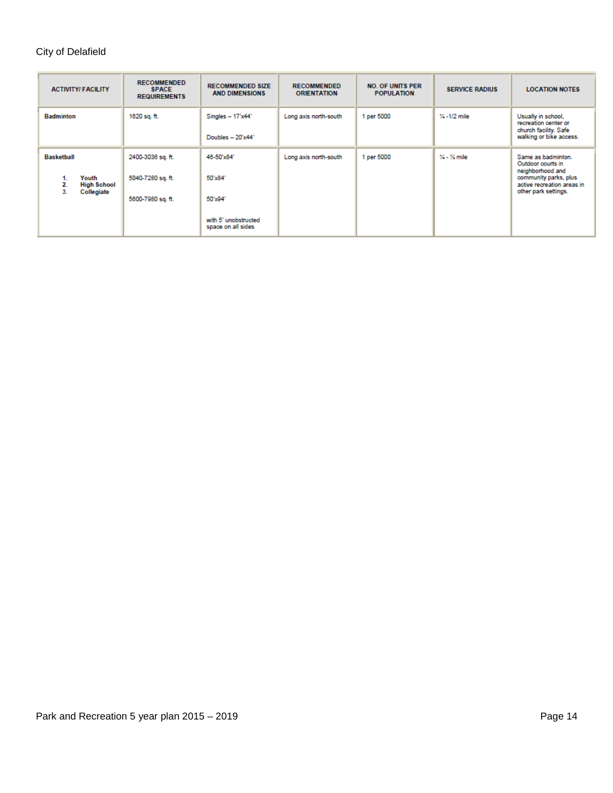| <b>ACTIVITY/FACILITY</b>                                                         | <b>RECOMMENDED</b><br><b>SPACE</b><br><b>REQUIREMENTS</b>   | <b>RECOMMENDED SIZE</b><br><b>AND DIMENSIONS</b>                               | <b>RECOMMENDED</b><br><b>ORIENTATION</b> | <b>NO. OF UNITS PER</b><br><b>POPULATION</b> | <b>SERVICE RADIUS</b> | <b>LOCATION NOTES</b>                                                                                                                      |
|----------------------------------------------------------------------------------|-------------------------------------------------------------|--------------------------------------------------------------------------------|------------------------------------------|----------------------------------------------|-----------------------|--------------------------------------------------------------------------------------------------------------------------------------------|
| <b>Badminton</b>                                                                 | 1620 sq. ft.                                                | Singles $-17'x44'$<br>Doubles $-20'x44'$                                       | Long axis north-south                    | 1 per 5000                                   | $% -1/2$ mile         | Usually in school,<br>recreation center or<br>church facility. Safe<br>walking or bike access.                                             |
| <b>Basketball</b><br>Youth<br>1.<br>2.<br><b>High School</b><br>Collegiate<br>3. | 2400-3036 sq. ft.<br>5040-7280 sq. ft.<br>5600-7980 sq. ft. | 46-50'x84"<br>50'x84"<br>50'x94"<br>with 5' unobstructed<br>space on all sides | Long axis north-south                    | 1 per 5000                                   | $\%$ - $\%$ mile      | Same as badminton.<br>Outdoor courts in<br>neighborhood and<br>community parks, plus<br>active recreation areas in<br>other park settings. |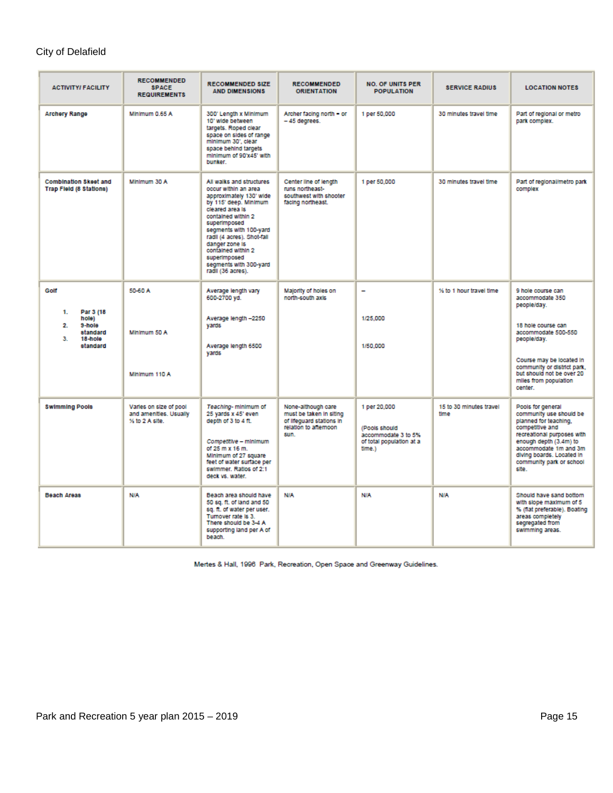| <b>ACTIVITY/FACILITY</b>                                                                   | <b>RECOMMENDED</b><br><b>SPACE</b><br><b>REQUIREMENTS</b>          | <b>RECOMMENDED SIZE</b><br><b>AND DIMENSIONS</b>                                                                                                                                                                                                                                                                             | <b>RECOMMENDED</b><br><b>ORIENTATION</b>                                                                   | <b>NO. OF UNITS PER</b><br><b>POPULATION</b>                                               | <b>SERVICE RADIUS</b>           | <b>LOCATION NOTES</b>                                                                                                                                                                                                                       |
|--------------------------------------------------------------------------------------------|--------------------------------------------------------------------|------------------------------------------------------------------------------------------------------------------------------------------------------------------------------------------------------------------------------------------------------------------------------------------------------------------------------|------------------------------------------------------------------------------------------------------------|--------------------------------------------------------------------------------------------|---------------------------------|---------------------------------------------------------------------------------------------------------------------------------------------------------------------------------------------------------------------------------------------|
| <b>Archery Range</b>                                                                       | Minimum 0.65 A                                                     | 300' Length x Minimum<br>10' wide between<br>targets. Roped clear<br>space on sides of range<br>minimum 30', clear<br>space behind targets<br>minimum of 90'x45' with<br>bunker.                                                                                                                                             | Archer facing north - or<br>$-45$ degrees.                                                                 | 1 per 50,000                                                                               | 30 minutes travel time          | Part of regional or metro<br>park complex.                                                                                                                                                                                                  |
| <b>Combination Skeet and</b><br><b>Trap Field (8 Stations)</b>                             | Minimum 30 A                                                       | All walks and structures<br>occur within an area<br>approximately 130' wide<br>by 115' deep. Minimum<br>cleared area is<br>contained within 2<br>superimposed<br>segments with 100-yard<br>radii (4 acres). Shot-fall<br>danger zone is<br>contained within 2<br>superimposed<br>segments with 300-yard<br>radii (36 acres). | Center line of length<br>runs northeast-<br>southwest with shooter<br>facing northeast.                    | 1 per 50,000                                                                               | 30 minutes travel time          | Part of regional/metro park<br>complex                                                                                                                                                                                                      |
| Golf<br>Par 3 (18)<br>1.<br>hole)<br>9-hole<br>2.<br>standard<br>3.<br>18-hole<br>standard | 50-60 A<br>Minimum 50 A<br>Minimum 110 A                           | Average length vary<br>600-2700 yd.<br>Average length -2250<br>vards<br>Average length 6500<br>yards                                                                                                                                                                                                                         | Majority of holes on<br>north-south axis                                                                   | 1/25,000<br>1/50.000                                                                       | % to 1 hour travel time         | 9 hole course can<br>accommodate 350<br>people/day.<br>18 hole course can<br>accommodate 500-550<br>people/day.<br>Course may be located in<br>community or district park.<br>but should not be over 20<br>miles from population<br>center. |
| <b>Swimming Pools</b>                                                                      | Varies on size of pool<br>and amenities. Usually<br>% to 2 A site. | Teaching-minimum of<br>25 yards x 45' even<br>depth of 3 to 4 ft.<br>Competitive - minimum<br>of 25 m x 16 m.<br>Minimum of 27 square<br>feet of water surface per<br>swimmer. Ratios of 2:1<br>deck vs. water.                                                                                                              | None-although care<br>must be taken in siting<br>of Illeguard stations in<br>relation to afternoon<br>sun. | 1 per 20,000<br>(Pools should<br>accommodate 3 to 5%<br>of total population at a<br>time.) | 15 to 30 minutes travel<br>time | Pools for general<br>community use should be<br>planned for teaching.<br>competitive and<br>recreational purposes with<br>enough depth (3.4m) to<br>accommodate 1m and 3m<br>diving boards. Located in<br>community park or school<br>site. |
| <b>Beach Areas</b>                                                                         | <b>N/A</b>                                                         | Beach area should have<br>50 sq. ft. of land and 50<br>sq. ft. of water per user.<br>Tumover rate is 3.<br>There should be 3-4 A<br>supporting land per A of<br>beach.                                                                                                                                                       | <b>N/A</b>                                                                                                 | <b>N/A</b>                                                                                 | <b>N/A</b>                      | Should have sand bottom<br>with slope maximum of 5<br>% (flat preferable). Boating<br>areas completely<br>segregated from<br>swimming areas.                                                                                                |

Mertes & Hall, 1996 Park, Recreation, Open Space and Greenway Guidelines.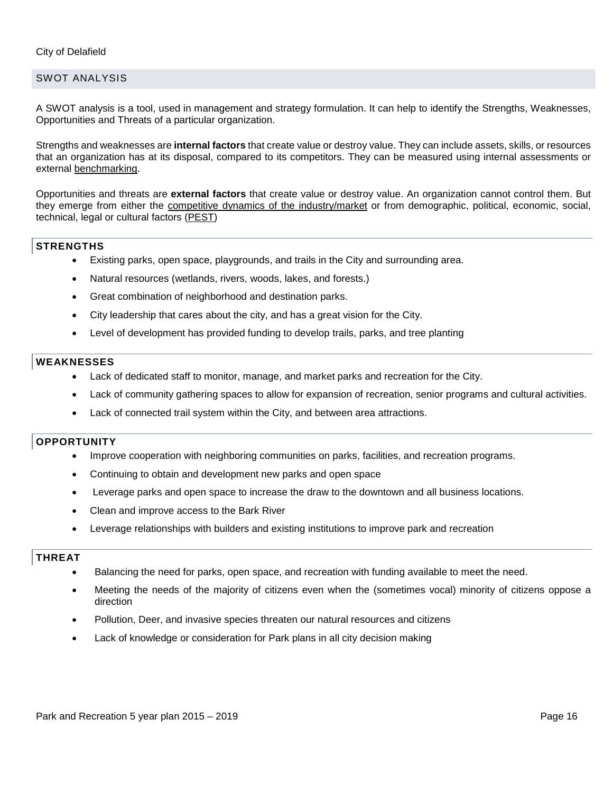### SWOT ANALYSIS

A SWOT analysis is a tool, used in management and strategy formulation. It can help to identify the Strengths, Weaknesses, Opportunities and Threats of a particular organization.

Strengths and weaknesses are **internal factors** that create value or destroy value. They can include assets, skills, or resources that an organization has at its disposal, compared to its competitors. They can be measured using internal assessments or external [benchmarking.](http://www.12manage.com/methods_benchmarking.html)

Opportunities and threats are **external factors** that create value or destroy value. An organization cannot control them. But they emerge from either the [competitive dynamics of the industry/market](http://www.12manage.com/methods_porter_five_forces.html) or from demographic, political, economic, social, technical, legal or cultural factors [\(PEST\)](http://www.12manage.com/methods_PEST_analysis.html)

#### **STRENGTHS**

- Existing parks, open space, playgrounds, and trails in the City and surrounding area.
- Natural resources (wetlands, rivers, woods, lakes, and forests.)
- Great combination of neighborhood and destination parks.
- City leadership that cares about the city, and has a great vision for the City.
- Level of development has provided funding to develop trails, parks, and tree planting

#### **WEAKNESSES**

- Lack of dedicated staff to monitor, manage, and market parks and recreation for the City.
- Lack of community gathering spaces to allow for expansion of recreation, senior programs and cultural activities.
- Lack of connected trail system within the City, and between area attractions.

#### **OPPORTUNITY**

- Improve cooperation with neighboring communities on parks, facilities, and recreation programs.
- Continuing to obtain and development new parks and open space
- Leverage parks and open space to increase the draw to the downtown and all business locations.
- Clean and improve access to the Bark River
- Leverage relationships with builders and existing institutions to improve park and recreation

#### **THREAT**

- Balancing the need for parks, open space, and recreation with funding available to meet the need.
- Meeting the needs of the majority of citizens even when the (sometimes vocal) minority of citizens oppose a direction
- Pollution, Deer, and invasive species threaten our natural resources and citizens
- Lack of knowledge or consideration for Park plans in all city decision making